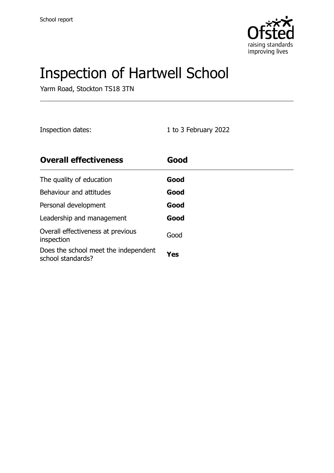

# Inspection of Hartwell School

Yarm Road, Stockton TS18 3TN

Inspection dates: 1 to 3 February 2022

| <b>Overall effectiveness</b>                              | Good |
|-----------------------------------------------------------|------|
| The quality of education                                  | Good |
| Behaviour and attitudes                                   | Good |
| Personal development                                      | Good |
| Leadership and management                                 | Good |
| Overall effectiveness at previous<br>inspection           | Good |
| Does the school meet the independent<br>school standards? | Yes  |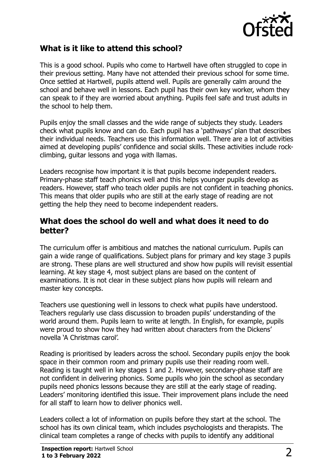

## **What is it like to attend this school?**

This is a good school. Pupils who come to Hartwell have often struggled to cope in their previous setting. Many have not attended their previous school for some time. Once settled at Hartwell, pupils attend well. Pupils are generally calm around the school and behave well in lessons. Each pupil has their own key worker, whom they can speak to if they are worried about anything. Pupils feel safe and trust adults in the school to help them.

Pupils enjoy the small classes and the wide range of subjects they study. Leaders check what pupils know and can do. Each pupil has a 'pathways' plan that describes their individual needs. Teachers use this information well. There are a lot of activities aimed at developing pupils' confidence and social skills. These activities include rockclimbing, guitar lessons and yoga with llamas.

Leaders recognise how important it is that pupils become independent readers. Primary-phase staff teach phonics well and this helps younger pupils develop as readers. However, staff who teach older pupils are not confident in teaching phonics. This means that older pupils who are still at the early stage of reading are not getting the help they need to become independent readers.

#### **What does the school do well and what does it need to do better?**

The curriculum offer is ambitious and matches the national curriculum. Pupils can gain a wide range of qualifications. Subject plans for primary and key stage 3 pupils are strong. These plans are well structured and show how pupils will revisit essential learning. At key stage 4, most subject plans are based on the content of examinations. It is not clear in these subject plans how pupils will relearn and master key concepts.

Teachers use questioning well in lessons to check what pupils have understood. Teachers regularly use class discussion to broaden pupils' understanding of the world around them. Pupils learn to write at length. In English, for example, pupils were proud to show how they had written about characters from the Dickens' novella 'A Christmas carol'.

Reading is prioritised by leaders across the school. Secondary pupils enjoy the book space in their common room and primary pupils use their reading room well. Reading is taught well in key stages 1 and 2. However, secondary-phase staff are not confident in delivering phonics. Some pupils who join the school as secondary pupils need phonics lessons because they are still at the early stage of reading. Leaders' monitoring identified this issue. Their improvement plans include the need for all staff to learn how to deliver phonics well.

Leaders collect a lot of information on pupils before they start at the school. The school has its own clinical team, which includes psychologists and therapists. The clinical team completes a range of checks with pupils to identify any additional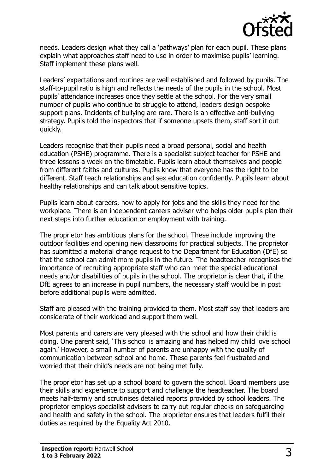

needs. Leaders design what they call a 'pathways' plan for each pupil. These plans explain what approaches staff need to use in order to maximise pupils' learning. Staff implement these plans well.

Leaders' expectations and routines are well established and followed by pupils. The staff-to-pupil ratio is high and reflects the needs of the pupils in the school. Most pupils' attendance increases once they settle at the school. For the very small number of pupils who continue to struggle to attend, leaders design bespoke support plans. Incidents of bullying are rare. There is an effective anti-bullying strategy. Pupils told the inspectors that if someone upsets them, staff sort it out quickly.

Leaders recognise that their pupils need a broad personal, social and health education (PSHE) programme. There is a specialist subject teacher for PSHE and three lessons a week on the timetable. Pupils learn about themselves and people from different faiths and cultures. Pupils know that everyone has the right to be different. Staff teach relationships and sex education confidently. Pupils learn about healthy relationships and can talk about sensitive topics.

Pupils learn about careers, how to apply for jobs and the skills they need for the workplace. There is an independent careers adviser who helps older pupils plan their next steps into further education or employment with training.

The proprietor has ambitious plans for the school. These include improving the outdoor facilities and opening new classrooms for practical subjects. The proprietor has submitted a material change request to the Department for Education (DfE) so that the school can admit more pupils in the future. The headteacher recognises the importance of recruiting appropriate staff who can meet the special educational needs and/or disabilities of pupils in the school. The proprietor is clear that, if the DfE agrees to an increase in pupil numbers, the necessary staff would be in post before additional pupils were admitted.

Staff are pleased with the training provided to them. Most staff say that leaders are considerate of their workload and support them well.

Most parents and carers are very pleased with the school and how their child is doing. One parent said, 'This school is amazing and has helped my child love school again.' However, a small number of parents are unhappy with the quality of communication between school and home. These parents feel frustrated and worried that their child's needs are not being met fully.

The proprietor has set up a school board to govern the school. Board members use their skills and experience to support and challenge the headteacher. The board meets half-termly and scrutinises detailed reports provided by school leaders. The proprietor employs specialist advisers to carry out regular checks on safeguarding and health and safety in the school. The proprietor ensures that leaders fulfil their duties as required by the Equality Act 2010.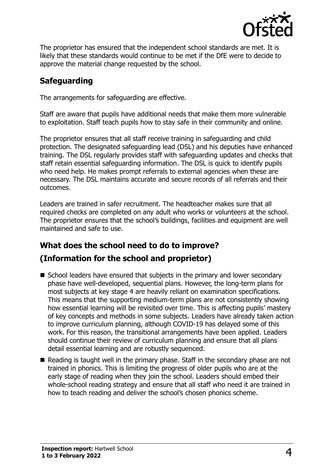

The proprietor has ensured that the independent school standards are met. It is likely that these standards would continue to be met if the DfE were to decide to approve the material change requested by the school.

## **Safeguarding**

The arrangements for safeguarding are effective.

Staff are aware that pupils have additional needs that make them more vulnerable to exploitation. Staff teach pupils how to stay safe in their community and online.

The proprietor ensures that all staff receive training in safeguarding and child protection. The designated safeguarding lead (DSL) and his deputies have enhanced training. The DSL regularly provides staff with safeguarding updates and checks that staff retain essential safeguarding information. The DSL is quick to identify pupils who need help. He makes prompt referrals to external agencies when these are necessary. The DSL maintains accurate and secure records of all referrals and their outcomes.

Leaders are trained in safer recruitment. The headteacher makes sure that all required checks are completed on any adult who works or volunteers at the school. The proprietor ensures that the school's buildings, facilities and equipment are well maintained and safe to use.

## **What does the school need to do to improve? (Information for the school and proprietor)**

- School leaders have ensured that subjects in the primary and lower secondary phase have well-developed, sequential plans. However, the long-term plans for most subjects at key stage 4 are heavily reliant on examination specifications. This means that the supporting medium-term plans are not consistently showing how essential learning will be revisited over time. This is affecting pupils' mastery of key concepts and methods in some subjects. Leaders have already taken action to improve curriculum planning, although COVID-19 has delayed some of this work. For this reason, the transitional arrangements have been applied. Leaders should continue their review of curriculum planning and ensure that all plans detail essential learning and are robustly sequenced.
- Reading is taught well in the primary phase. Staff in the secondary phase are not trained in phonics. This is limiting the progress of older pupils who are at the early stage of reading when they join the school. Leaders should embed their whole-school reading strategy and ensure that all staff who need it are trained in how to teach reading and deliver the school's chosen phonics scheme.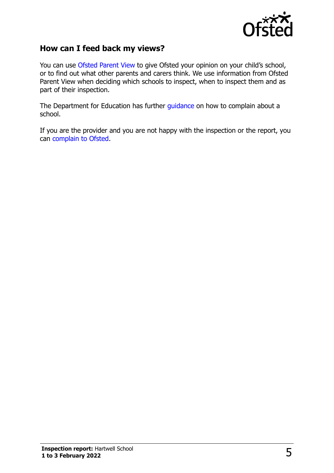

## **How can I feed back my views?**

You can use [Ofsted Parent View](http://parentview.ofsted.gov.uk/) to give Ofsted your opinion on your child's school, or to find out what other parents and carers think. We use information from Ofsted Parent View when deciding which schools to inspect, when to inspect them and as part of their inspection.

The Department for Education has further [guidance](http://www.gov.uk/complain-about-school) on how to complain about a school.

If you are the provider and you are not happy with the inspection or the report, you can [complain to Ofsted.](http://www.gov.uk/complain-ofsted-report)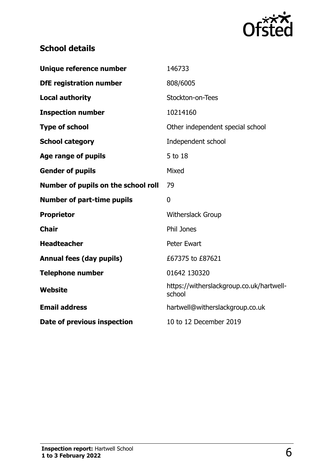

## **School details**

| Unique reference number             | 146733                                             |
|-------------------------------------|----------------------------------------------------|
| <b>DfE registration number</b>      | 808/6005                                           |
| <b>Local authority</b>              | Stockton-on-Tees                                   |
| <b>Inspection number</b>            | 10214160                                           |
| <b>Type of school</b>               | Other independent special school                   |
| <b>School category</b>              | Independent school                                 |
| <b>Age range of pupils</b>          | 5 to 18                                            |
| <b>Gender of pupils</b>             | Mixed                                              |
| Number of pupils on the school roll | 79                                                 |
| <b>Number of part-time pupils</b>   | $\mathbf 0$                                        |
| <b>Proprietor</b>                   | Witherslack Group                                  |
| <b>Chair</b>                        | <b>Phil Jones</b>                                  |
| <b>Headteacher</b>                  | <b>Peter Ewart</b>                                 |
| Annual fees (day pupils)            | £67375 to £87621                                   |
| <b>Telephone number</b>             | 01642 130320                                       |
| <b>Website</b>                      | https://witherslackgroup.co.uk/hartwell-<br>school |
| <b>Email address</b>                | hartwell@witherslackgroup.co.uk                    |
| Date of previous inspection         | 10 to 12 December 2019                             |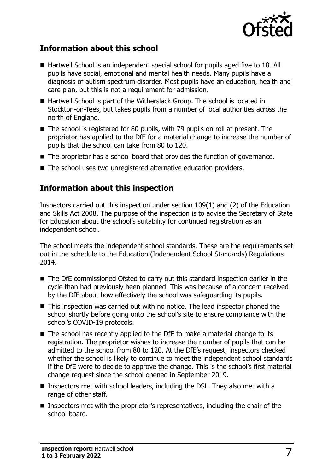

## **Information about this school**

- Hartwell School is an independent special school for pupils aged five to 18. All pupils have social, emotional and mental health needs. Many pupils have a diagnosis of autism spectrum disorder. Most pupils have an education, health and care plan, but this is not a requirement for admission.
- Hartwell School is part of the Witherslack Group. The school is located in Stockton-on-Tees, but takes pupils from a number of local authorities across the north of England.
- The school is registered for 80 pupils, with 79 pupils on roll at present. The proprietor has applied to the DfE for a material change to increase the number of pupils that the school can take from 80 to 120.
- The proprietor has a school board that provides the function of governance.
- The school uses two unregistered alternative education providers.

## **Information about this inspection**

Inspectors carried out this inspection under section 109(1) and (2) of the Education and Skills Act 2008. The purpose of the inspection is to advise the Secretary of State for Education about the school's suitability for continued registration as an independent school.

The school meets the independent school standards. These are the requirements set out in the schedule to the Education (Independent School Standards) Regulations 2014.

- The DfE commissioned Ofsted to carry out this standard inspection earlier in the cycle than had previously been planned. This was because of a concern received by the DfE about how effectively the school was safeguarding its pupils.
- This inspection was carried out with no notice. The lead inspector phoned the school shortly before going onto the school's site to ensure compliance with the school's COVID-19 protocols.
- The school has recently applied to the DfE to make a material change to its registration. The proprietor wishes to increase the number of pupils that can be admitted to the school from 80 to 120. At the DfE's request, inspectors checked whether the school is likely to continue to meet the independent school standards if the DfE were to decide to approve the change. This is the school's first material change request since the school opened in September 2019.
- Inspectors met with school leaders, including the DSL. They also met with a range of other staff.
- Inspectors met with the proprietor's representatives, including the chair of the school board.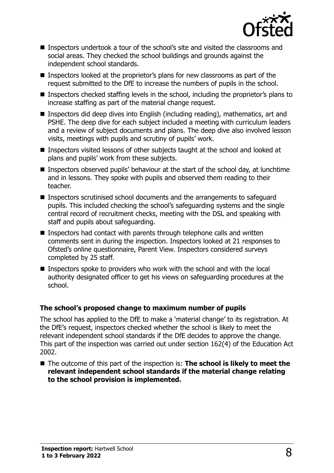

- Inspectors undertook a tour of the school's site and visited the classrooms and social areas. They checked the school buildings and grounds against the independent school standards.
- Inspectors looked at the proprietor's plans for new classrooms as part of the request submitted to the DfE to increase the numbers of pupils in the school.
- **Inspectors checked staffing levels in the school, including the proprietor's plans to** increase staffing as part of the material change request.
- Inspectors did deep dives into English (including reading), mathematics, art and PSHE. The deep dive for each subject included a meeting with curriculum leaders and a review of subject documents and plans. The deep dive also involved lesson visits, meetings with pupils and scrutiny of pupils' work.
- Inspectors visited lessons of other subjects taught at the school and looked at plans and pupils' work from these subjects.
- Inspectors observed pupils' behaviour at the start of the school day, at lunchtime and in lessons. They spoke with pupils and observed them reading to their teacher.
- Inspectors scrutinised school documents and the arrangements to safeguard pupils. This included checking the school's safeguarding systems and the single central record of recruitment checks, meeting with the DSL and speaking with staff and pupils about safeguarding.
- Inspectors had contact with parents through telephone calls and written comments sent in during the inspection. Inspectors looked at 21 responses to Ofsted's online questionnaire, Parent View. Inspectors considered surveys completed by 25 staff.
- Inspectors spoke to providers who work with the school and with the local authority designated officer to get his views on safeguarding procedures at the school.

#### **The school's proposed change to maximum number of pupils**

The school has applied to the DfE to make a 'material change' to its registration. At the DfE's request, inspectors checked whether the school is likely to meet the relevant independent school standards if the DfE decides to approve the change. This part of the inspection was carried out under section 162(4) of the Education Act 2002.

■ The outcome of this part of the inspection is: **The school is likely to meet the relevant independent school standards if the material change relating to the school provision is implemented.**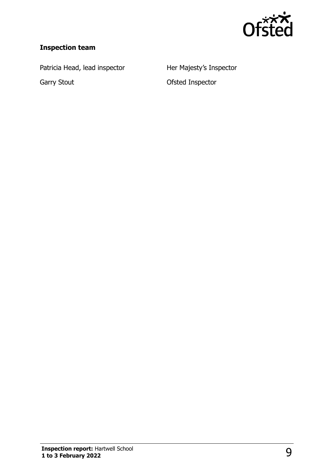

## **Inspection team**

Patricia Head, lead inspector **Her Majesty's Inspector** 

Garry Stout **Garry Stout CELL COLLEGARGE I**nspector